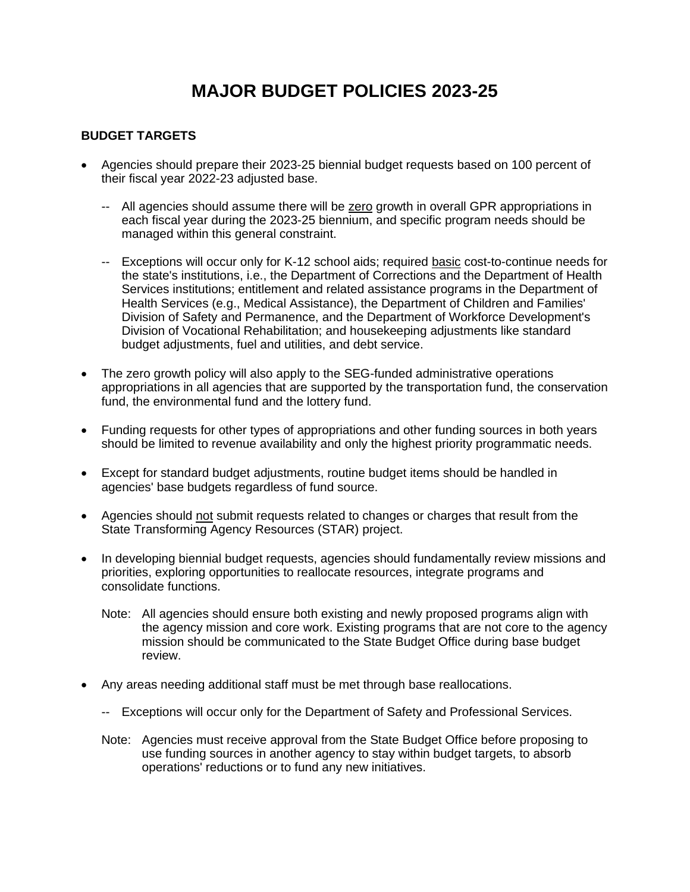# **MAJOR BUDGET POLICIES 2023-25**

#### **BUDGET TARGETS**

- Agencies should prepare their 2023-25 biennial budget requests based on 100 percent of their fiscal year 2022-23 adjusted base.
	- -- All agencies should assume there will be zero growth in overall GPR appropriations in each fiscal year during the 2023-25 biennium, and specific program needs should be managed within this general constraint.
	- -- Exceptions will occur only for K-12 school aids; required basic cost-to-continue needs for the state's institutions, i.e., the Department of Corrections and the Department of Health Services institutions; entitlement and related assistance programs in the Department of Health Services (e.g., Medical Assistance), the Department of Children and Families' Division of Safety and Permanence, and the Department of Workforce Development's Division of Vocational Rehabilitation; and housekeeping adjustments like standard budget adjustments, fuel and utilities, and debt service.
- The zero growth policy will also apply to the SEG-funded administrative operations appropriations in all agencies that are supported by the transportation fund, the conservation fund, the environmental fund and the lottery fund.
- Funding requests for other types of appropriations and other funding sources in both years should be limited to revenue availability and only the highest priority programmatic needs.
- Except for standard budget adjustments, routine budget items should be handled in agencies' base budgets regardless of fund source.
- Agencies should not submit requests related to changes or charges that result from the State Transforming Agency Resources (STAR) project.
- In developing biennial budget requests, agencies should fundamentally review missions and priorities, exploring opportunities to reallocate resources, integrate programs and consolidate functions.
	- Note: All agencies should ensure both existing and newly proposed programs align with the agency mission and core work. Existing programs that are not core to the agency mission should be communicated to the State Budget Office during base budget review.
- Any areas needing additional staff must be met through base reallocations.
	- -- Exceptions will occur only for the Department of Safety and Professional Services.
	- Note: Agencies must receive approval from the State Budget Office before proposing to use funding sources in another agency to stay within budget targets, to absorb operations' reductions or to fund any new initiatives.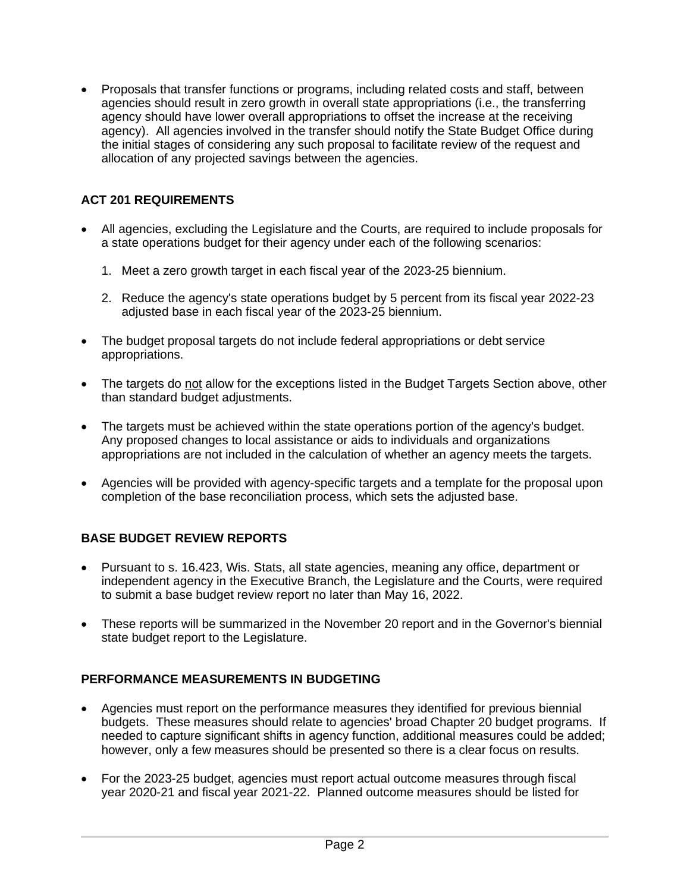• Proposals that transfer functions or programs, including related costs and staff, between agencies should result in zero growth in overall state appropriations (i.e., the transferring agency should have lower overall appropriations to offset the increase at the receiving agency). All agencies involved in the transfer should notify the State Budget Office during the initial stages of considering any such proposal to facilitate review of the request and allocation of any projected savings between the agencies.

# **ACT 201 REQUIREMENTS**

- All agencies, excluding the Legislature and the Courts, are required to include proposals for a state operations budget for their agency under each of the following scenarios:
	- 1. Meet a zero growth target in each fiscal year of the 2023-25 biennium.
	- 2. Reduce the agency's state operations budget by 5 percent from its fiscal year 2022-23 adjusted base in each fiscal year of the 2023-25 biennium.
- The budget proposal targets do not include federal appropriations or debt service appropriations.
- The targets do not allow for the exceptions listed in the Budget Targets Section above, other than standard budget adjustments.
- The targets must be achieved within the state operations portion of the agency's budget. Any proposed changes to local assistance or aids to individuals and organizations appropriations are not included in the calculation of whether an agency meets the targets.
- Agencies will be provided with agency-specific targets and a template for the proposal upon completion of the base reconciliation process, which sets the adjusted base.

# **BASE BUDGET REVIEW REPORTS**

- Pursuant to s. 16.423, Wis. Stats, all state agencies, meaning any office, department or independent agency in the Executive Branch, the Legislature and the Courts, were required to submit a base budget review report no later than May 16, 2022.
- These reports will be summarized in the November 20 report and in the Governor's biennial state budget report to the Legislature.

## **PERFORMANCE MEASUREMENTS IN BUDGETING**

- Agencies must report on the performance measures they identified for previous biennial budgets. These measures should relate to agencies' broad Chapter 20 budget programs. If needed to capture significant shifts in agency function, additional measures could be added; however, only a few measures should be presented so there is a clear focus on results.
- For the 2023-25 budget, agencies must report actual outcome measures through fiscal year 2020-21 and fiscal year 2021-22. Planned outcome measures should be listed for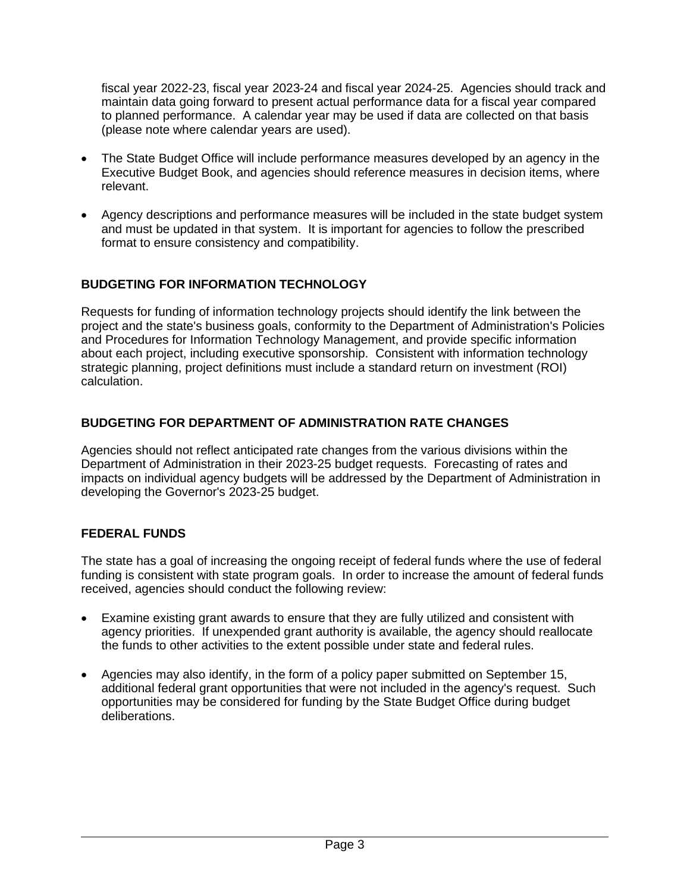fiscal year 2022-23, fiscal year 2023-24 and fiscal year 2024-25. Agencies should track and maintain data going forward to present actual performance data for a fiscal year compared to planned performance. A calendar year may be used if data are collected on that basis (please note where calendar years are used).

- The State Budget Office will include performance measures developed by an agency in the Executive Budget Book, and agencies should reference measures in decision items, where relevant.
- Agency descriptions and performance measures will be included in the state budget system and must be updated in that system. It is important for agencies to follow the prescribed format to ensure consistency and compatibility.

# **BUDGETING FOR INFORMATION TECHNOLOGY**

Requests for funding of information technology projects should identify the link between the project and the state's business goals, conformity to the Department of Administration's Policies and Procedures for Information Technology Management, and provide specific information about each project, including executive sponsorship. Consistent with information technology strategic planning, project definitions must include a standard return on investment (ROI) calculation.

## **BUDGETING FOR DEPARTMENT OF ADMINISTRATION RATE CHANGES**

Agencies should not reflect anticipated rate changes from the various divisions within the Department of Administration in their 2023-25 budget requests. Forecasting of rates and impacts on individual agency budgets will be addressed by the Department of Administration in developing the Governor's 2023-25 budget.

## **FEDERAL FUNDS**

The state has a goal of increasing the ongoing receipt of federal funds where the use of federal funding is consistent with state program goals. In order to increase the amount of federal funds received, agencies should conduct the following review:

- Examine existing grant awards to ensure that they are fully utilized and consistent with agency priorities. If unexpended grant authority is available, the agency should reallocate the funds to other activities to the extent possible under state and federal rules.
- Agencies may also identify, in the form of a policy paper submitted on September 15, additional federal grant opportunities that were not included in the agency's request. Such opportunities may be considered for funding by the State Budget Office during budget deliberations.